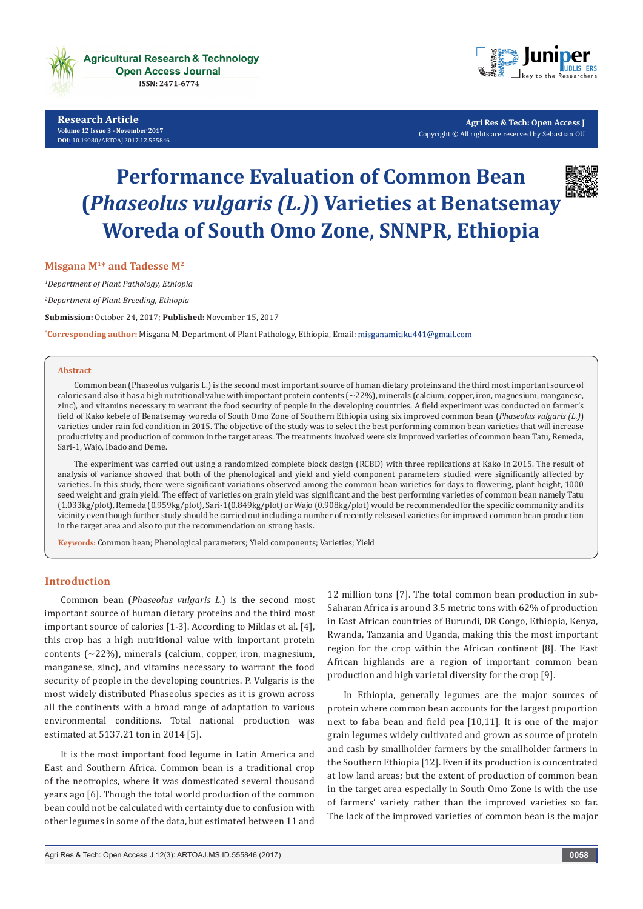

**Research Article Volume 12 Issue 3 - November 2017 [DOI:](http://dx.doi.org/10.19080/artoaj.2016.02.555590
)** [10.19080/ARTOAJ.2017.12.555846](http://dx.doi.org/10.19080/artoaj.2017.12.555846)



**Agri Res & Tech: Open Access J** Copyright © All rights are reserved by Sebastian OU

# **Performance Evaluation of Common Bean (***Phaseolus vulgaris (L.)***) Varieties at Benatsemay Woreda of South Omo Zone, SNNPR, Ethiopia**



#### **Misgana M1\* and Tadesse M2**

*1 Department of Plant Pathology, Ethiopia*

*2 Department of Plant Breeding, Ethiopia*

**Submission:** October 24, 2017; **Published:** November 15, 2017

**\* Corresponding author:** Misgana M, Department of Plant Pathology, Ethiopia, Email:

#### **Abstract**

Common bean (Phaseolus vulgaris L.) is the second most important source of human dietary proteins and the third most important source of calories and also it has a high nutritional value with important protein contents (~22%), minerals (calcium, copper, iron, magnesium, manganese, zinc), and vitamins necessary to warrant the food security of people in the developing countries. A field experiment was conducted on farmer's field of Kako kebele of Benatsemay woreda of South Omo Zone of Southern Ethiopia using six improved common bean (*Phaseolus vulgaris (L.)*) varieties under rain fed condition in 2015. The objective of the study was to select the best performing common bean varieties that will increase productivity and production of common in the target areas. The treatments involved were six improved varieties of common bean Tatu, Remeda, Sari-1, Wajo, Ibado and Deme.

The experiment was carried out using a randomized complete block design (RCBD) with three replications at Kako in 2015. The result of analysis of variance showed that both of the phenological and yield and yield component parameters studied were significantly affected by varieties. In this study, there were significant variations observed among the common bean varieties for days to flowering, plant height, 1000 seed weight and grain yield. The effect of varieties on grain yield was significant and the best performing varieties of common bean namely Tatu (1.033kg/plot), Remeda (0.959kg/plot), Sari-1(0.849kg/plot) or Wajo (0.908kg/plot) would be recommended for the specific community and its vicinity even though further study should be carried out including a number of recently released varieties for improved common bean production in the target area and also to put the recommendation on strong basis.

**Keywords:** Common bean; Phenological parameters; Yield components; Varieties; Yield

## **Introduction**

Common bean (*Phaseolus vulgaris L.*) is the second most important source of human dietary proteins and the third most important source of calories [1-3]. According to Miklas et al. [4], this crop has a high nutritional value with important protein contents (~22%), minerals (calcium, copper, iron, magnesium, manganese, zinc), and vitamins necessary to warrant the food security of people in the developing countries. P. Vulgaris is the most widely distributed Phaseolus species as it is grown across all the continents with a broad range of adaptation to various environmental conditions. Total national production was estimated at 5137.21 ton in 2014 [5].

It is the most important food legume in Latin America and East and Southern Africa. Common bean is a traditional crop of the neotropics, where it was domesticated several thousand years ago [6]. Though the total world production of the common bean could not be calculated with certainty due to confusion with other legumes in some of the data, but estimated between 11 and 12 million tons [7]. The total common bean production in sub-Saharan Africa is around 3.5 metric tons with 62% of production in East African countries of Burundi, DR Congo, Ethiopia, Kenya, Rwanda, Tanzania and Uganda, making this the most important region for the crop within the African continent [8]. The East African highlands are a region of important common bean production and high varietal diversity for the crop [9].

In Ethiopia, generally legumes are the major sources of protein where common bean accounts for the largest proportion next to faba bean and field pea [10,11]. It is one of the major grain legumes widely cultivated and grown as source of protein and cash by smallholder farmers by the smallholder farmers in the Southern Ethiopia [12]. Even if its production is concentrated at low land areas; but the extent of production of common bean in the target area especially in South Omo Zone is with the use of farmers' variety rather than the improved varieties so far. The lack of the improved varieties of common bean is the major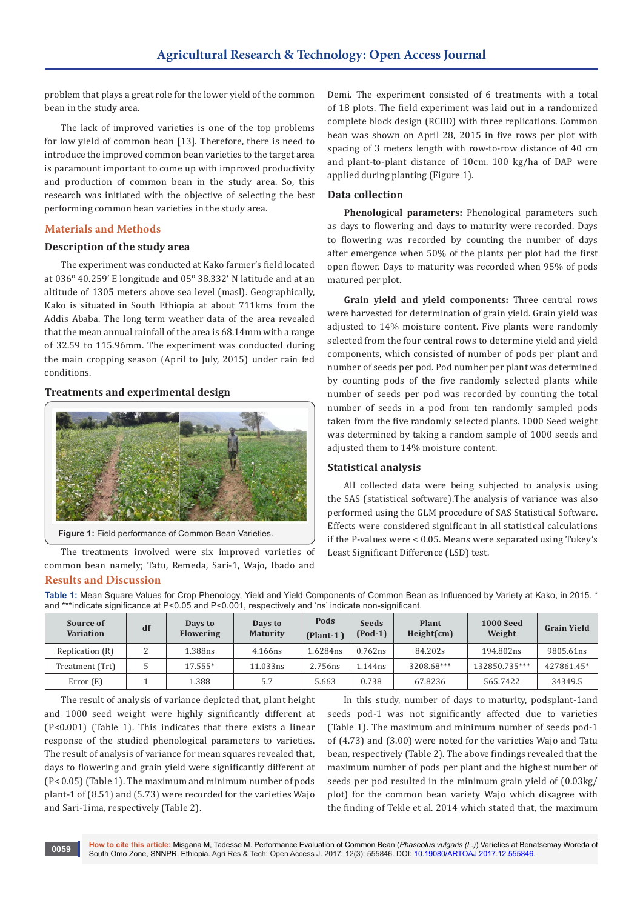problem that plays a great role for the lower yield of the common bean in the study area.

The lack of improved varieties is one of the top problems for low yield of common bean [13]. Therefore, there is need to introduce the improved common bean varieties to the target area is paramount important to come up with improved productivity and production of common bean in the study area. So, this research was initiated with the objective of selecting the best performing common bean varieties in the study area.

## **Materials and Methods**

## **Description of the study area**

The experiment was conducted at Kako farmer's field located at 036° 40.259' E longitude and 05° 38.332' N latitude and at an altitude of 1305 meters above sea level (masl). Geographically, Kako is situated in South Ethiopia at about 711kms from the Addis Ababa. The long term weather data of the area revealed that the mean annual rainfall of the area is 68.14mm with a range of 32.59 to 115.96mm. The experiment was conducted during the main cropping season (April to July, 2015) under rain fed conditions.

## **Treatments and experimental design**



**Figure 1:** Field performance of Common Bean Varieties.

The treatments involved were six improved varieties of common bean namely; Tatu, Remeda, Sari-1, Wajo, Ibado and

# **Results and Discussion**

Demi. The experiment consisted of 6 treatments with a total of 18 plots. The field experiment was laid out in a randomized complete block design (RCBD) with three replications. Common bean was shown on April 28, 2015 in five rows per plot with spacing of 3 meters length with row-to-row distance of 40 cm and plant-to-plant distance of 10cm. 100 kg/ha of DAP were applied during planting (Figure 1).

## **Data collection**

**Phenological parameters:** Phenological parameters such as days to flowering and days to maturity were recorded. Days to flowering was recorded by counting the number of days after emergence when 50% of the plants per plot had the first open flower. Days to maturity was recorded when 95% of pods matured per plot.

**Grain yield and yield components:** Three central rows were harvested for determination of grain yield. Grain yield was adjusted to 14% moisture content. Five plants were randomly selected from the four central rows to determine yield and yield components, which consisted of number of pods per plant and number of seeds per pod. Pod number per plant was determined by counting pods of the five randomly selected plants while number of seeds per pod was recorded by counting the total number of seeds in a pod from ten randomly sampled pods taken from the five randomly selected plants. 1000 Seed weight was determined by taking a random sample of 1000 seeds and adjusted them to 14% moisture content.

#### **Statistical analysis**

All collected data were being subjected to analysis using the SAS (statistical software).The analysis of variance was also performed using the GLM procedure of SAS Statistical Software. Effects were considered significant in all statistical calculations if the P-values were < 0.05. Means were separated using Tukey's Least Significant Difference (LSD) test.

**Table 1:** Mean Square Values for Crop Phenology, Yield and Yield Components of Common Bean as Influenced by Variety at Kako, in 2015. \* and \*\*\*indicate significance at P<0.05 and P<0.001, respectively and 'ns' indicate non-significant.

| Source of<br><b>Variation</b> | df | Days to<br><b>Flowering</b> | Days to<br><b>Maturity</b> | Pods<br>(Plant-1 | <b>Seeds</b><br>$(Pod-1)$ | Plant<br>Height(cm) | <b>1000 Seed</b><br>Weight | <b>Grain Yield</b> |
|-------------------------------|----|-----------------------------|----------------------------|------------------|---------------------------|---------------------|----------------------------|--------------------|
| Replication (R)               |    | 1.388ns                     | 4.166ns                    | .6284ns          | 0.762ns                   | 84.202s             | 194.802ns                  | 9805.61ns          |
| Treatment (Trt)               |    | $17.555*$                   | 11.033ns                   | 2.756ns          | l.144ns                   | 3208.68***          | 132850.735***              | 427861.45*         |
| Error $(E)$                   |    | 1.388                       | 5.7                        | 5.663            | 0.738                     | 67.8236             | 565.7422                   | 34349.5            |

The result of analysis of variance depicted that, plant height and 1000 seed weight were highly significantly different at (P<0.001) (Table 1). This indicates that there exists a linear response of the studied phenological parameters to varieties. The result of analysis of variance for mean squares revealed that, days to flowering and grain yield were significantly different at (P< 0.05) (Table 1). The maximum and minimum number of pods plant-1 of (8.51) and (5.73) were recorded for the varieties Wajo and Sari-1ima, respectively (Table 2).

In this study, number of days to maturity, podsplant-1and seeds pod-1 was not significantly affected due to varieties (Table 1). The maximum and minimum number of seeds pod-1 of (4.73) and (3.00) were noted for the varieties Wajo and Tatu bean, respectively (Table 2). The above findings revealed that the maximum number of pods per plant and the highest number of seeds per pod resulted in the minimum grain yield of (0.03kg/ plot) for the common bean variety Wajo which disagree with the finding of Tekle et al. 2014 which stated that, the maximum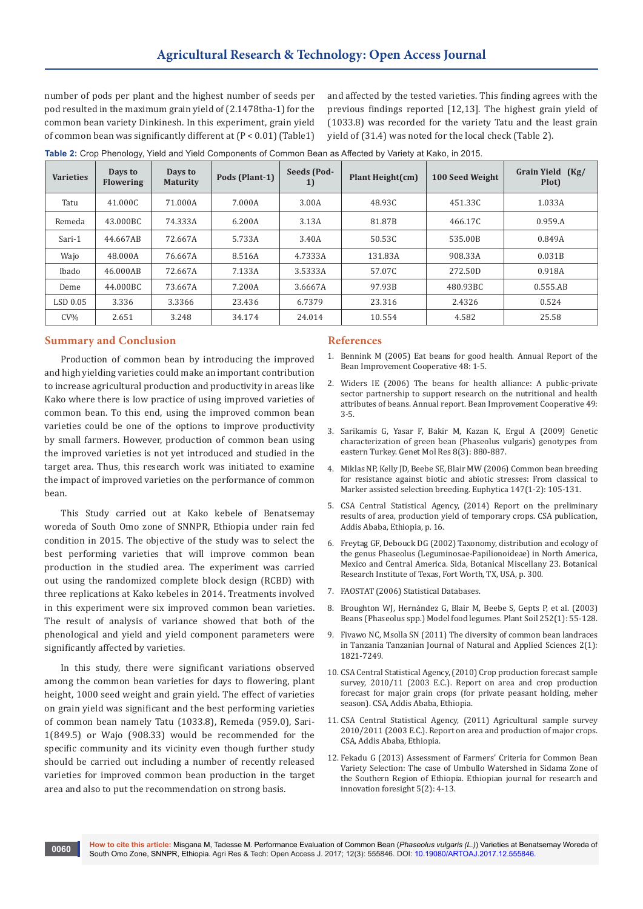number of pods per plant and the highest number of seeds per pod resulted in the maximum grain yield of (2.1478tha-1) for the common bean variety Dinkinesh. In this experiment, grain yield of common bean was significantly different at (P < 0.01) (Table1)

and affected by the tested varieties. This finding agrees with the previous findings reported [12,13]. The highest grain yield of (1033.8) was recorded for the variety Tatu and the least grain yield of (31.4) was noted for the local check (Table 2).

| <b>Varieties</b> | Days to<br><b>Flowering</b> | Days to<br><b>Maturity</b> | Pods (Plant-1) | Seeds (Pod-<br>1) | Plant Height(cm) | 100 Seed Weight | Grain Yield (Kg/<br>Plot) |
|------------------|-----------------------------|----------------------------|----------------|-------------------|------------------|-----------------|---------------------------|
| Tatu             | 41.000C                     | 71.000A                    | 7.000A         | 3.00A             | 48.93C           | 451.33C         | 1.033A                    |
| Remeda           | 43.000BC                    | 74.333A                    | 6.200A         | 3.13A             | 81.87B           | 466.17C         | 0.959.A                   |
| Sari-1           | 44.667AB                    | 72.667A                    | 5.733A         | 3.40A             | 50.53C           | 535.00B         | 0.849A                    |
| Wajo             | 48.000A                     | 76.667A                    | 8.516A         | 4.7333A           | 131.83A          | 908.33A         | 0.031B                    |
| Ibado            | 46.000AB                    | 72.667A                    | 7.133A         | 3.5333A           | 57.07C           | 272.50D         | 0.918A                    |
| Deme             | 44.000BC                    | 73.667A                    | 7.200A         | 3.6667A           | 97.93B           | 480.93BC        | 0.555.AB                  |
| LSD 0.05         | 3.336                       | 3.3366                     | 23.436         | 6.7379            | 23.316           | 2.4326          | 0.524                     |
| $CV\%$           | 2.651                       | 3.248                      | 34.174         | 24.014            | 10.554           | 4.582           | 25.58                     |

**Table 2:** Crop Phenology, Yield and Yield Components of Common Bean as Affected by Variety at Kako, in 2015.

## **Summary and Conclusion**

Production of common bean by introducing the improved and high yielding varieties could make an important contribution to increase agricultural production and productivity in areas like Kako where there is low practice of using improved varieties of common bean. To this end, using the improved common bean varieties could be one of the options to improve productivity by small farmers. However, production of common bean using the improved varieties is not yet introduced and studied in the target area. Thus, this research work was initiated to examine the impact of improved varieties on the performance of common bean.

This Study carried out at Kako kebele of Benatsemay woreda of South Omo zone of SNNPR, Ethiopia under rain fed condition in 2015. The objective of the study was to select the best performing varieties that will improve common bean production in the studied area. The experiment was carried out using the randomized complete block design (RCBD) with three replications at Kako kebeles in 2014. Treatments involved in this experiment were six improved common bean varieties. The result of analysis of variance showed that both of the phenological and yield and yield component parameters were significantly affected by varieties.

In this study, there were significant variations observed among the common bean varieties for days to flowering, plant height, 1000 seed weight and grain yield. The effect of varieties on grain yield was significant and the best performing varieties of common bean namely Tatu (1033.8), Remeda (959.0), Sari-1(849.5) or Wajo (908.33) would be recommended for the specific community and its vicinity even though further study should be carried out including a number of recently released varieties for improved common bean production in the target area and also to put the recommendation on strong basis.

#### **References**

- 1. Bennink M (2005) Eat beans for good health. Annual Report of the Bean Improvement Cooperative 48: 1-5.
- 2. Widers IE (2006) The beans for health alliance: A public-private sector partnership to support research on the nutritional and health attributes of beans. Annual report. Bean Improvement Cooperative 49: 3-5.
- 3. [Sarikamis G, Yasar F, Bakir M, Kazan K, Ergul A \(2009\) Genetic](https://www.ncbi.nlm.nih.gov/pubmed/19731210)  [characterization of green bean \(Phaseolus vulgaris\) genotypes from](https://www.ncbi.nlm.nih.gov/pubmed/19731210)  [eastern Turkey. Genet Mol Res 8\(3\): 880-887.](https://www.ncbi.nlm.nih.gov/pubmed/19731210)
- 4. [Miklas NP, Kelly JD, Beebe SE, Blair MW \(2006\) Common bean breeding](https://link.springer.com/article/10.1007/s10681-006-4600-5)  [for resistance against biotic and abiotic stresses: From classical to](https://link.springer.com/article/10.1007/s10681-006-4600-5)  [Marker assisted selection breeding. Euphytica 147\(1-2\): 105-131.](https://link.springer.com/article/10.1007/s10681-006-4600-5)
- 5. CSA Central Statistical Agency, (2014) Report on the preliminary results of area, production yield of temporary crops. CSA publication, Addis Ababa, Ethiopia, p. 16.
- 6. [Freytag GF, Debouck DG \(2002\) Taxonomy, distribution and ecology of](https://cgspace.cgiar.org/handle/10568/54291)  [the genus Phaseolus \(Leguminosae-Papilionoideae\) in North America,](https://cgspace.cgiar.org/handle/10568/54291)  [Mexico and Central America. Sida, Botanical Miscellany 23. Botanical](https://cgspace.cgiar.org/handle/10568/54291)  [Research Institute of Texas, Fort Worth, TX, USA, p. 300.](https://cgspace.cgiar.org/handle/10568/54291)
- 7. FAOSTAT (2006) Statistical Databases.
- 8. [Broughton WJ, Hernández G, Blair M, Beebe S, Gepts P, et al. \(2003\)](https://link.springer.com/article/10.1023/A:1024146710611)  [Beans \(Phaseolus spp.\) Model food legumes. Plant Soil 252\(1\): 55-128.](https://link.springer.com/article/10.1023/A:1024146710611)
- 9. Fivawo NC, Msolla SN (2011) The diversity of common bean landraces in Tanzania Tanzanian Journal of Natural and Applied Sciences 2(1): 1821-7249.
- 10. CSA Central Statistical Agency, (2010) Crop production forecast sample survey, 2010/11 (2003 E.C.). Report on area and crop production forecast for major grain crops (for private peasant holding, meher season). CSA, Addis Ababa, Ethiopia.
- 11. CSA Central Statistical Agency, (2011) Agricultural sample survey 2010/2011 (2003 E.C.). Report on area and production of major crops. CSA, Addis Ababa, Ethiopia.
- 12. Fekadu G (2013) Assessment of Farmers' Criteria for Common Bean Variety Selection: The case of Umbullo Watershed in Sidama Zone of the Southern Region of Ethiopia. Ethiopian journal for research and innovation foresight 5(2): 4-13.